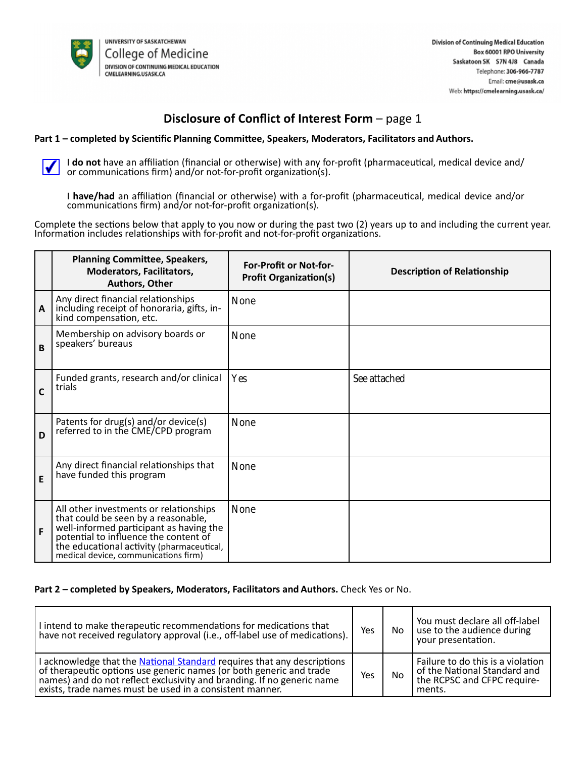

## **Disclosure of Conflict of Interest Form - page 1**

### **Part 1 – completed by Scientific Planning Committee, Speakers, Moderators, Facilitators and Authors.**

I **do not** have an affiliation (financial or otherwise) with any for-profit (pharmaceutical, medical device and/ or communications firm) and/or not-for-profit organization(s).

I **have/had** an affiliation (financial or otherwise) with a for-profit (pharmaceutical, medical device and/or communications firm) and/or not-for-profit organization(s).

Complete the sections below that apply to you now or during the past two (2) years up to and including the current year. Information includes relationships with for-profit and not-for-profit organizations.

|              | <b>Planning Committee, Speakers,</b><br><b>Moderators, Facilitators,</b><br><b>Authors, Other</b>                                                                                                                                                      | <b>For-Profit or Not-for-</b><br><b>Profit Organization(s)</b> | <b>Description of Relationship</b> |
|--------------|--------------------------------------------------------------------------------------------------------------------------------------------------------------------------------------------------------------------------------------------------------|----------------------------------------------------------------|------------------------------------|
| $\mathsf{A}$ | Any direct financial relationships<br>including receipt of honoraria, gifts, in-<br>kind compensation, etc.                                                                                                                                            | <b>None</b>                                                    |                                    |
| B            | Membership on advisory boards or<br>speakers' bureaus                                                                                                                                                                                                  | <b>None</b>                                                    |                                    |
| C            | Funded grants, research and/or clinical<br>trials                                                                                                                                                                                                      | Yes                                                            | See attached                       |
| D            | Patents for drug(s) and/or device(s)<br>referred to in the CME/CPD program                                                                                                                                                                             | <b>None</b>                                                    |                                    |
| E            | Any direct financial relationships that<br>have funded this program                                                                                                                                                                                    | <b>None</b>                                                    |                                    |
| F            | All other investments or relationships<br>that could be seen by a reasonable,<br>well-informed participant as having the<br>potential to influence the content of<br>the educational activity (pharmaceutical,<br>medical device, communications firm) | <b>None</b>                                                    |                                    |

#### **Part 2 – completed by Speakers, Moderators, Facilitators and Authors.** Check Yes or No.

| I intend to make therapeutic recommendations for medications that<br>have not received regulatory approval (i.e., off-label use of medications).                                                                                                                                     | Yes | No. | You must declare all off-label<br>use to the audience during<br>your presentation.                         |
|--------------------------------------------------------------------------------------------------------------------------------------------------------------------------------------------------------------------------------------------------------------------------------------|-----|-----|------------------------------------------------------------------------------------------------------------|
| I acknowledge that the National Standard requires that any descriptions<br>of therapeutic options use generic names (or both generic and trade<br>names) and do not reflect exclusivity and branding. If no generic name<br>exists, trade names must be used in a consistent manner. |     | No  | Failure to do this is a violation<br>of the National Standard and<br>the RCPSC and CFPC require-<br>ments. |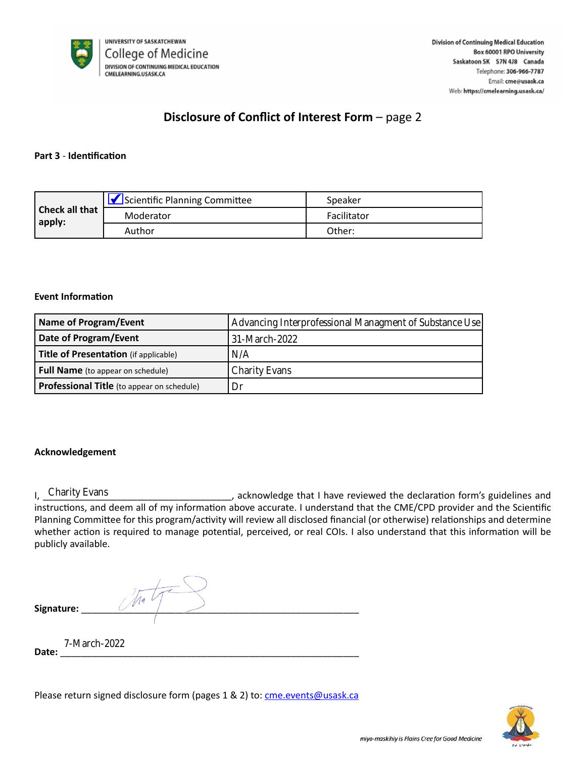

# **Disclosure of Conflict of Interest Form** – page 2

## **Part 3** - **Identification**

|                          | Scientific Planning Committee | Speaker     |
|--------------------------|-------------------------------|-------------|
| Check all that<br>apply: | Moderator                     | Facilitator |
|                          | Author                        | Other:      |

#### **Event Information**

| <b>Name of Program/Event</b>                      | Advancing Interprofessional Managment of Substance Use |  |  |
|---------------------------------------------------|--------------------------------------------------------|--|--|
| Date of Program/Event                             | 31-March-2022                                          |  |  |
| Title of Presentation (if applicable)             | N/A                                                    |  |  |
| <b>Full Name</b> (to appear on schedule)          | <b>Charity Evans</b>                                   |  |  |
| <b>Professional Title</b> (to appear on schedule) | Dr                                                     |  |  |

## **Acknowledgement**

I, Charity Evans **Example 20** acknowledge that I have reviewed the declaration form's guidelines and instructions, and deem all of my information above accurate. I understand that the CME/CPD provider and the Scientific Planning Committee for this program/activity will review all disclosed financial (or otherwise) relationships and determine whether action is required to manage potential, perceived, or real COIs. I also understand that this information will be publicly available. ofessional Title (to appear on schedule) [Dr<br>
Charity Evans<br>
Fructions, and deem all of my information abo<br>
nning Committee for this program/activity will<br>
ether action is required to manage potential,<br>
blicly available.<br>

**Signature:** \_\_\_\_\_\_\_\_\_\_\_\_\_\_\_\_\_\_\_\_\_\_\_\_\_\_\_\_\_\_\_\_\_\_\_\_\_\_\_\_\_\_\_\_\_\_\_\_\_\_\_\_\_

**Date:** \_\_\_\_\_\_\_\_\_\_\_\_\_\_\_\_\_\_\_\_\_\_\_\_\_\_\_\_\_\_\_\_\_\_\_\_\_\_\_\_\_\_\_\_\_\_\_\_\_\_\_\_\_\_\_\_\_

Please return signed disclosure form (pages 1 & 2) to: [cme.events@usask.ca](mailto:cme.events@usask.ca)